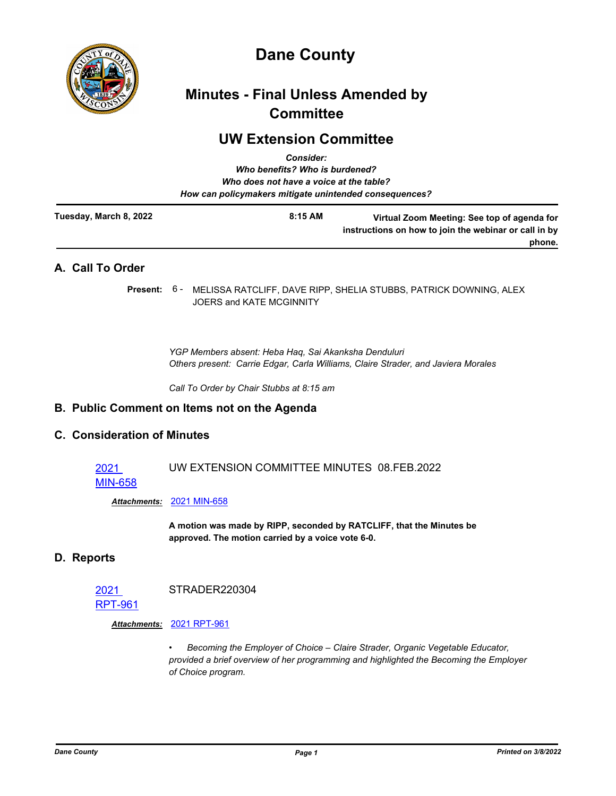

# **Dane County**

# **Minutes - Final Unless Amended by Committee**

# **UW Extension Committee** *Consider:*

|                        | GUISIUCI.<br>Who benefits? Who is burdened?<br>Who does not have a voice at the table?<br>How can policymakers mitigate unintended consequences? |                                                                                                                |
|------------------------|--------------------------------------------------------------------------------------------------------------------------------------------------|----------------------------------------------------------------------------------------------------------------|
| Tuesday, March 8, 2022 | 8:15 AM                                                                                                                                          | Virtual Zoom Meeting: See top of agenda for<br>instructions on how to join the webinar or call in by<br>phone. |
| A. Call To Order       |                                                                                                                                                  |                                                                                                                |

Present: 6 - MELISSA RATCLIFF, DAVE RIPP, SHELIA STUBBS, PATRICK DOWNING, ALEX JOERS and KATE MCGINNITY

*YGP Members absent: Heba Haq, Sai Akanksha Denduluri Others present: Carrie Edgar, Carla Williams, Claire Strader, and Javiera Morales*

*Call To Order by Chair Stubbs at 8:15 am*

# **B. Public Comment on Items not on the Agenda**

# **C. Consideration of Minutes**

#### 2021 UW EXTENSION COMMITTEE MINUTES 08.FEB.2022

#### [MIN-658](http://dane.legistar.com/gateway.aspx?m=l&id=/matter.aspx?key=22389)

*Attachments:* [2021 MIN-658](http://dane.legistar.com/gateway.aspx?M=F&ID=6cdee960-e1ff-46d7-9075-f179c780f26f.pdf)

**A motion was made by RIPP, seconded by RATCLIFF, that the Minutes be approved. The motion carried by a voice vote 6-0.**

### **D. Reports**

2021 STRADER220304

## [RPT-961](http://dane.legistar.com/gateway.aspx?m=l&id=/matter.aspx?key=22449)

#### *Attachments:* [2021 RPT-961](http://dane.legistar.com/gateway.aspx?M=F&ID=eec5040d-735c-4b8c-955d-058e4a9e1027.pdf)

*• Becoming the Employer of Choice – Claire Strader, Organic Vegetable Educator, provided a brief overview of her programming and highlighted the Becoming the Employer of Choice program.*